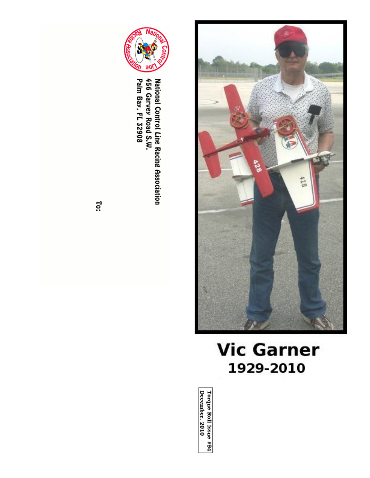



National Control Line Racing Association<br>456 Garvey Road S.W.<br>Palm Bay, FL 32908

To:

# **Vic Garner** 1929-2010

Torque Roll Issue #94<br>December, 2010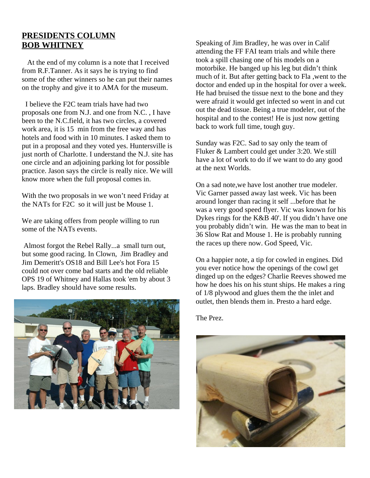# **PRESIDENTS COLUMN BOB WHITNEY**

 At the end of my column is a note that I received from R.F.Tanner. As it says he is trying to find some of the other winners so he can put their names on the trophy and give it to AMA for the museum.

 I believe the F2C team trials have had two proposals one from N.J. and one from N.C. , I have been to the N.C.field, it has two circles, a covered work area, it is 15 min from the free way and has hotels and food with in 10 minutes. I asked them to put in a proposal and they voted yes. Huntersville is just north of Charlotte. I understand the N.J. site has one circle and an adjoining parking lot for possible practice. Jason says the circle is really nice. We will know more when the full proposal comes in.

With the two proposals in we won't need Friday at the NATs for F2C so it will just be Mouse 1.

We are taking offers from people willing to run some of the NATs events.

 Almost forgot the Rebel Rally...a small turn out, but some good racing. In Clown, Jim Bradley and Jim Demeritt's OS18 and Bill Lee's hot Fora 15 could not over come bad starts and the old reliable OPS 19 of Whitney and Hallas took 'em by about 3 laps. Bradley should have some results.



Speaking of Jim Bradley, he was over in Calif attending the FF FAI team trials and while there took a spill chasing one of his models on a motorbike. He banged up his leg but didn't think much of it. But after getting back to Fla ,went to the doctor and ended up in the hospital for over a week. He had bruised the tissue next to the bone and they were afraid it would get infected so went in and cut out the dead tissue. Being a true modeler, out of the hospital and to the contest! He is just now getting back to work full time, tough guy.

Sunday was F2C. Sad to say only the team of Fluker & Lambert could get under 3:20. We still have a lot of work to do if we want to do any good at the next Worlds.

On a sad note,we have lost another true modeler. Vic Garner passed away last week. Vic has been around longer than racing it self ...before that he was a very good speed flyer. Vic was known for his Dykes rings for the K&B 40'. If you didn't have one you probably didn't win. He was the man to beat in 36 Slow Rat and Mouse 1. He is probably running the races up there now. God Speed, Vic.

On a happier note, a tip for cowled in engines. Did you ever notice how the openings of the cowl get dinged up on the edges? Charlie Reeves showed me how he does his on his stunt ships. He makes a ring of 1/8 plywood and glues them the the inlet and outlet, then blends them in. Presto a hard edge.

The Prez.

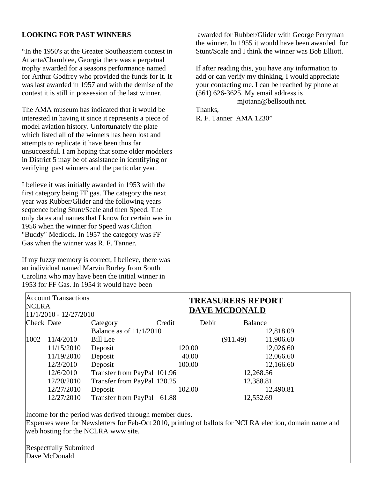# **LOOKING FOR PAST WINNERS**

"In the 1950's at the Greater Southeastern contest in Atlanta/Chamblee, Georgia there was a perpetual trophy awarded for a seasons performance named for Arthur Godfrey who provided the funds for it. It was last awarded in 1957 and with the demise of the contest it is still in possession of the last winner.

The AMA museum has indicated that it would be interested in having it since it represents a piece of model aviation history. Unfortunately the plate which listed all of the winners has been lost and attempts to replicate it have been thus far unsuccessful. I am hoping that some older modelers in District 5 may be of assistance in identifying or verifying past winners and the particular year.

I believe it was initially awarded in 1953 with the first category being FF gas. The category the next year was Rubber/Glider and the following years sequence being Stunt/Scale and then Speed. The only dates and names that I know for certain was in 1956 when the winner for Speed was Clifton "Buddy" Medlock. In 1957 the category was FF Gas when the winner was R. F. Tanner.

If my fuzzy memory is correct, I believe, there was an individual named Marvin Burley from South Carolina who may have been the initial winner in 1953 for FF Gas. In 1954 it would have been

 awarded for Rubber/Glider with George Perryman the winner. In 1955 it would have been awarded for Stunt/Scale and I think the winner was Bob Elliott.

If after reading this, you have any information to add or can verify my thinking, I would appreciate your contacting me. I can be reached by phone at (561) 626-3625. My email address is mjotann@bellsouth.net.

Thanks, R. F. Tanner AMA 1230"

| <b>Account Transactions</b> |            |                             |        |        | <b>TREASURERS REPORT</b> |           |
|-----------------------------|------------|-----------------------------|--------|--------|--------------------------|-----------|
| <b>NCLRA</b>                |            |                             |        |        | <b>DAVE MCDONALD</b>     |           |
| 11/1/2010 - 12/27/2010      |            |                             |        |        |                          |           |
| Check Date                  |            | Category                    | Credit | Debit  | <b>Balance</b>           |           |
|                             |            | Balance as of 11/1/2010     |        |        |                          | 12,818.09 |
| 1002                        | 11/4/2010  | <b>Bill Lee</b>             |        |        | (911.49)                 | 11,906.60 |
|                             | 11/15/2010 | Deposit                     |        | 120.00 |                          | 12,026.60 |
|                             | 11/19/2010 | Deposit                     |        | 40.00  |                          | 12,066.60 |
|                             | 12/3/2010  | Deposit                     |        | 100.00 |                          | 12,166.60 |
|                             | 12/6/2010  | Transfer from PayPal 101.96 |        |        | 12,268.56                |           |
|                             | 12/20/2010 | Transfer from PayPal 120.25 |        |        | 12,388.81                |           |
|                             | 12/27/2010 | Deposit                     |        | 102.00 |                          | 12,490.81 |
|                             | 12/27/2010 | <b>Transfer from PayPal</b> | 61.88  |        | 12,552.69                |           |
|                             |            |                             |        |        |                          |           |

Income for the period was derived through member dues.

Expenses were for Newsletters for Feb-Oct 2010, printing of ballots for NCLRA election, domain name and web hosting for the NCLRA www site.

Respectfully Submitted Dave McDonald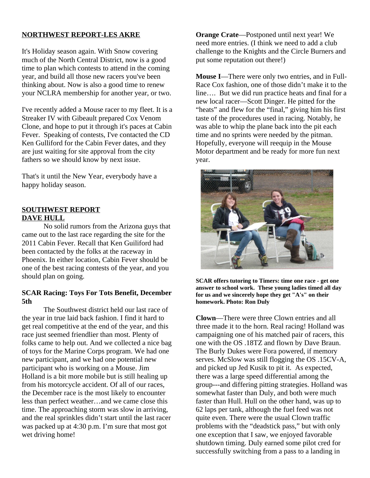# **NORTHWEST REPORT-LES AKRE**

It's Holiday season again. With Snow covering much of the North Central District, now is a good time to plan which contests to attend in the coming year, and build all those new racers you've been thinking about. Now is also a good time to renew your NCLRA membership for another year, or two.

I've recently added a Mouse racer to my fleet. It is a Streaker IV with Gibeault prepared Cox Venom Clone, and hope to put it through it's paces at Cabin Fever. Speaking of contests, I've contacted the CD Ken Gulliford for the Cabin Fever dates, and they are just waiting for site approval from the city fathers so we should know by next issue.

That's it until the New Year, everybody have a happy holiday season.

# **SOUTHWEST REPORT DAVE HULL**

No solid rumors from the Arizona guys that came out to the last race regarding the site for the 2011 Cabin Fever. Recall that Ken Guiliford had been contacted by the folks at the raceway in Phoenix. In either location, Cabin Fever should be one of the best racing contests of the year, and you should plan on going.

# **SCAR Racing: Toys For Tots Benefit, December 5th**

The Southwest district held our last race of the year in true laid back fashion. I find it hard to get real competitive at the end of the year, and this race just seemed friendlier than most. Plenty of folks came to help out. And we collected a nice bag of toys for the Marine Corps program. We had one new participant, and we had one potential new participant who is working on a Mouse. Jim Holland is a bit more mobile but is still healing up from his motorcycle accident. Of all of our races, the December race is the most likely to encounter less than perfect weather…and we came close this time. The approaching storm was slow in arriving, and the real sprinkles didn't start until the last racer was packed up at 4:30 p.m. I'm sure that most got wet driving home!

**Orange Crate**—Postponed until next year! We need more entries. (I think we need to add a club challenge to the Knights and the Circle Burners and put some reputation out there!)

**Mouse I**—There were only two entries, and in Full-Race Cox fashion, one of those didn't make it to the line…. But we did run practice heats and final for a new local racer—Scott Dinger. He pitted for the "heats" and flew for the "final," giving him his first taste of the procedures used in racing. Notably, he was able to whip the plane back into the pit each time and no sprints were needed by the pitman. Hopefully, everyone will reequip in the Mouse Motor department and be ready for more fun next year.



**SCAR offers tutoring to Timers: time one race - get one answer to school work. These young ladies timed all day for us and we sincerely hope they get "A's" on their homework. Photo: Ron Duly**

**Clown**—There were three Clown entries and all three made it to the horn. Real racing! Holland was campaigning one of his matched pair of racers, this one with the OS .18TZ and flown by Dave Braun. The Burly Dukes were Fora powered, if memory serves. McSlow was still flogging the OS .15CV-A, and picked up Jed Kusik to pit it. As expected, there was a large speed differential among the group---and differing pitting strategies. Holland was somewhat faster than Duly, and both were much faster than Hull. Hull on the other hand, was up to 62 laps per tank, although the fuel feed was not quite even. There were the usual Clown traffic problems with the "deadstick pass," but with only one exception that I saw, we enjoyed favorable shutdown timing. Duly earned some pilot cred for successfully switching from a pass to a landing in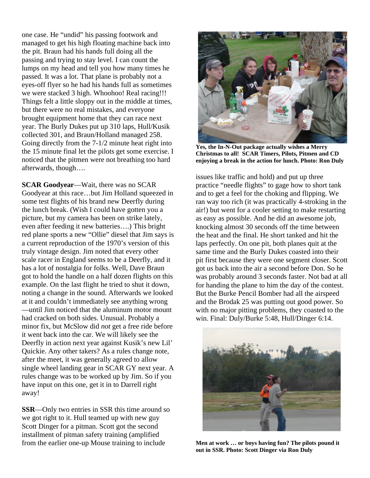one case. He "undid" his passing footwork and managed to get his high floating machine back into the pit. Braun had his hands full doing all the passing and trying to stay level. I can count the lumps on my head and tell you how many times he passed. It was a lot. That plane is probably not a eyes-off flyer so he had his hands full as sometimes we were stacked 3 high. Whoohoo! Real racing!!! Things felt a little sloppy out in the middle at times, but there were no real mistakes, and everyone brought equipment home that they can race next year. The Burly Dukes put up 310 laps, Hull/Kusik collected 301, and Braun/Holland managed 258. Going directly from the 7-1/2 minute heat right into the 15 minute final let the pilots get some exercise. I noticed that the pitmen were not breathing too hard afterwards, though….

**SCAR Goodyear**—Wait, there was no SCAR Goodyear at this race…but Jim Holland squeezed in some test flights of his brand new Deerfly during the lunch break. (Wish I could have gotten you a picture, but my camera has been on strike lately, even after feeding it new batteries….) This bright red plane sports a new "Ollie" diesel that Jim says is a current reproduction of the 1970's version of this truly vintage design. Jim noted that every other scale racer in England seems to be a Deerfly, and it has a lot of nostalgia for folks. Well, Dave Braun got to hold the handle on a half dozen flights on this example. On the last flight he tried to shut it down, noting a change in the sound. Afterwards we looked at it and couldn't immediately see anything wrong —until Jim noticed that the aluminum motor mount had cracked on both sides. Unusual. Probably a minor fix, but McSlow did *not* get a free ride before it went back into the car. We will likely see the Deerfly in action next year against Kusik's new Lil' Quickie. Any other takers? As a rules change note, after the meet, it was generally agreed to allow single wheel landing gear in SCAR GY next year. A rules change was to be worked up by Jim. So if you have input on this one, get it in to Darrell right away!

**SSR**—Only two entries in SSR this time around so we got right to it. Hull teamed up with new guy Scott Dinger for a pitman. Scott got the second installment of pitman safety training (amplified from the earlier one-up Mouse training to include



**Yes, the In-N-Out package actually wishes a Merry Christmas to all! SCAR Timers, Pilots, Pitmen and CD enjoying a break in the action for lunch. Photo: Ron Duly**

issues like traffic and hold) and put up three practice "needle flights" to gage how to short tank and to get a feel for the choking and flipping. We ran way too rich (it was practically 4-stroking in the air!) but went for a cooler setting to make restarting as easy as possible. And he did an awesome job, knocking almost 30 seconds off the time between the heat and the final. He short tanked and hit the laps perfectly. On one pit, both planes quit at the same time and the Burly Dukes coasted into their pit first because they were one segment closer. Scott got us back into the air a second before Don. So he was probably around 3 seconds faster. Not bad at all for handing the plane to him the day of the contest. But the Burke Pencil Bomber had all the airspeed and the Brodak 25 was putting out good power. So with no major pitting problems, they coasted to the win. Final: Duly/Burke 5:48, Hull/Dinger 6:14.



**Men at work … or boys having fun? The pilots pound it out in SSR. Photo: Scott Dinger via Ron Duly**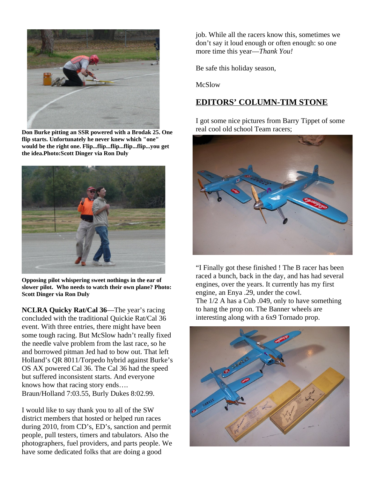

**Don Burke pitting an SSR powered with a Brodak 25. One flip starts. Unfortunately he never knew which "one" would be the right one. Flip...flip...flip...flip...flip...you get the idea.Photo:Scott Dinger via Ron Duly**



**Opposing pilot whispering sweet nothings in the ear of slower pilot. Who needs to watch their own plane? Photo: Scott Dinger via Ron Duly**

**NCLRA Quicky Rat/Cal 36**—The year's racing concluded with the traditional Quickie Rat/Cal 36 event. With three entries, there might have been some tough racing. But McSlow hadn't really fixed the needle valve problem from the last race, so he and borrowed pitman Jed had to bow out. That left Holland's QR 8011/Torpedo hybrid against Burke's OS AX powered Cal 36. The Cal 36 had the speed but suffered inconsistent starts. And everyone knows how that racing story ends…. Braun/Holland 7:03.55, Burly Dukes 8:02.99.

I would like to say thank you to all of the SW district members that hosted or helped run races during 2010, from CD's, ED's, sanction and permit people, pull testers, timers and tabulators. Also the photographers, fuel providers, and parts people. We have some dedicated folks that are doing a good

job. While all the racers know this, sometimes we don't say it loud enough or often enough: so one more time this year—*Thank You!*

Be safe this holiday season,

McSlow

# **EDITORS' COLUMN-TIM STONE**

I got some nice pictures from Barry Tippet of some real cool old school Team racers;



"I Finally got these finished ! The B racer has been raced a bunch, back in the day, and has had several engines, over the years. It currently has my first engine, an Enya .29, under the cowl. The 1/2 A has a Cub .049, only to have something to hang the prop on. The Banner wheels are interesting along with a 6x9 Tornado prop.

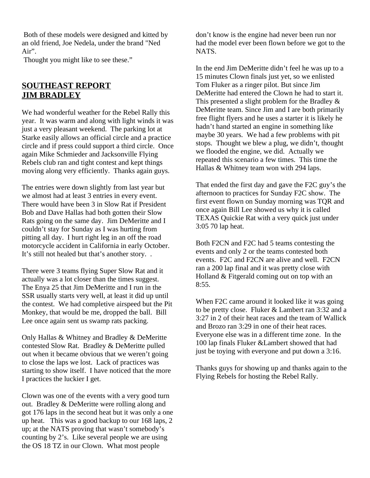Both of these models were designed and kitted by an old friend, Joe Nedela, under the brand "Ned Air".

Thought you might like to see these."

# **SOUTHEAST REPORT JIM BRADLEY**

We had wonderful weather for the Rebel Rally this year. It was warm and along with light winds it was just a very pleasant weekend. The parking lot at Starke easily allows an official circle and a practice circle and if press could support a third circle. Once again Mike Schmieder and Jacksonville Flying Rebels club ran and tight contest and kept things moving along very efficiently. Thanks again guys.

The entries were down slightly from last year but we almost had at least 3 entries in every event. There would have been 3 in Slow Rat if President Bob and Dave Hallas had both gotten their Slow Rats going on the same day. Jim DeMeritte and I couldn't stay for Sunday as I was hurting from pitting all day. I hurt right leg in an off the road motorcycle accident in California in early October. It's still not healed but that's another story. .

There were 3 teams flying Super Slow Rat and it actually was a lot closer than the times suggest. The Enya 25 that Jim DeMeritte and I run in the SSR usually starts very well, at least it did up until the contest. We had completive airspeed but the Pit Monkey, that would be me, dropped the ball. Bill Lee once again sent us swamp rats packing.

Only Hallas & Whitney and Bradley & DeMeritte contested Slow Rat. Bradley & DeMeritte pulled out when it became obvious that we weren't going to close the laps we lost. Lack of practices was starting to show itself. I have noticed that the more I practices the luckier I get.

Clown was one of the events with a very good turn out. Bradley & DeMeritte were rolling along and got 176 laps in the second heat but it was only a one up heat. This was a good backup to our 168 laps, 2 up; at the NATS proving that wasn't somebody's counting by 2's. Like several people we are using the OS 18 TZ in our Clown. What most people

don't know is the engine had never been run nor had the model ever been flown before we got to the NATS.

In the end Jim DeMeritte didn't feel he was up to a 15 minutes Clown finals just yet, so we enlisted Tom Fluker as a ringer pilot. But since Jim DeMeritte had entered the Clown he had to start it. This presented a slight problem for the Bradley & DeMeritte team. Since Jim and I are both primarily free flight flyers and he uses a starter it is likely he hadn't hand started an engine in something like maybe 30 years. We had a few problems with pit stops. Thought we blew a plug, we didn't, thought we flooded the engine, we did. Actually we repeated this scenario a few times. This time the Hallas & Whitney team won with 294 laps.

That ended the first day and gave the F2C guy's the afternoon to practices for Sunday F2C show. The first event flown on Sunday morning was TQR and once again Bill Lee showed us why it is called TEXAS Quickie Rat with a very quick just under 3:05 70 lap heat.

Both F2CN and F2C had 5 teams contesting the events and only 2 or the teams contested both events. F2C and F2CN are alive and well. F2CN ran a 200 lap final and it was pretty close with Holland & Fitgerald coming out on top with an 8:55.

When F2C came around it looked like it was going to be pretty close. Fluker & Lambert ran 3:32 and a 3:27 in 2 of their heat races and the team of Wallick and Brozo ran 3:29 in one of their heat races. Everyone else was in a different time zone. In the 100 lap finals Fluker &Lambert showed that had just be toying with everyone and put down a 3:16.

Thanks guys for showing up and thanks again to the Flying Rebels for hosting the Rebel Rally.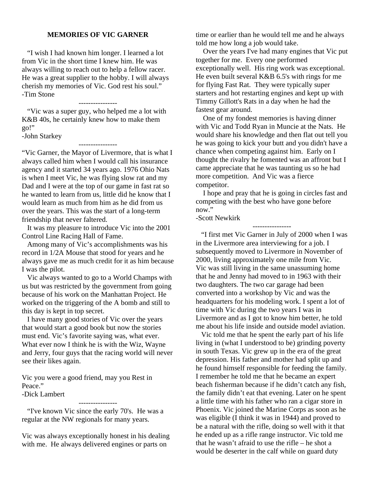## **MEMORIES OF VIC GARNER**

 "I wish I had known him longer. I learned a lot from Vic in the short time I knew him. He was always willing to reach out to help a fellow racer. He was a great supplier to the hobby. I will always cherish my memories of Vic. God rest his soul." -Tim Stone

---------------- "Vic was a super guy, who helped me a lot with K&B 40s, he certainly knew how to make them go!"

-John Starkey

----------------

"Vic Garner, the Mayor of Livermore, that is what I always called him when I would call his insurance agency and it started 34 years ago. 1976 Ohio Nats is when I meet Vic, he was flying slow rat and my Dad and I were at the top of our game in fast rat so he wanted to learn from us, little did he know that I would learn as much from him as he did from us over the years. This was the start of a long-term friendship that never faltered.

 It was my pleasure to introduce Vic into the 2001 Control Line Racing Hall of Fame.

 Among many of Vic's accomplishments was his record in 1/2A Mouse that stood for years and he always gave me as much credit for it as him because I was the pilot.

 Vic always wanted to go to a World Champs with us but was restricted by the government from going because of his work on the Manhattan Project. He worked on the triggering of the A bomb and still to this day is kept in top secret.

 I have many good stories of Vic over the years that would start a good book but now the stories must end. Vic's favorite saying was, what ever. What ever now I think he is with the Wiz, Wayne and Jerry, four guys that the racing world will never see their likes again.

Vic you were a good friend, may you Rest in Peace." -Dick Lambert

----------------

 "I've known Vic since the early 70's. He was a regular at the NW regionals for many years.

Vic was always exceptionally honest in his dealing with me. He always delivered engines or parts on

time or earlier than he would tell me and he always told me how long a job would take.

 Over the years I've had many engines that Vic put together for me. Every one performed exceptionally well. His ring work was exceptional. He even built several K&B 6.5's with rings for me for flying Fast Rat. They were typically super starters and hot restarting engines and kept up with Timmy Gillott's Rats in a day when he had the fastest gear around.

 One of my fondest memories is having dinner with Vic and Todd Ryan in Muncie at the Nats. He would share his knowledge and then flat out tell you he was going to kick your butt and you didn't have a chance when competing against him. Early on I thought the rivalry he fomented was an affront but I came appreciate that he was taunting us so he had more competition. And Vic was a fierce competitor.

 I hope and pray that he is going in circles fast and competing with the best who have gone before now."

----------------

-Scott Newkirk

 "I first met Vic Garner in July of 2000 when I was in the Livermore area interviewing for a job. I subsequently moved to Livermore in November of 2000, living approximately one mile from Vic. Vic was still living in the same unassuming home that he and Jenny had moved to in 1963 with their two daughters. The two car garage had been converted into a workshop by Vic and was the headquarters for his modeling work. I spent a lot of time with Vic during the two years I was in Livermore and as I got to know him better, he told me about his life inside and outside model aviation.

 Vic told me that he spent the early part of his life living in (what I understood to be) grinding poverty in south Texas. Vic grew up in the era of the great depression. His father and mother had split up and he found himself responsible for feeding the family. I remember he told me that he became an expert beach fisherman because if he didn't catch any fish, the family didn't eat that evening. Later on he spent a little time with his father who ran a cigar store in Phoenix. Vic joined the Marine Corps as soon as he was eligible (I think it was in 1944) and proved to be a natural with the rifle, doing so well with it that he ended up as a rifle range instructor. Vic told me that he wasn't afraid to use the rifle – he shot a would be deserter in the calf while on guard duty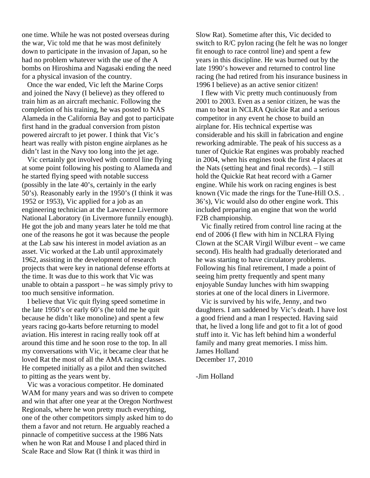one time. While he was not posted overseas during the war, Vic told me that he was most definitely down to participate in the invasion of Japan, so he had no problem whatever with the use of the A bombs on Hiroshima and Nagasaki ending the need for a physical invasion of the country.

 Once the war ended, Vic left the Marine Corps and joined the Navy (I believe) as they offered to train him as an aircraft mechanic. Following the completion of his training, he was posted to NAS Alameda in the California Bay and got to participate first hand in the gradual conversion from piston powered aircraft to jet power. I think that Vic's heart was really with piston engine airplanes as he didn't last in the Navy too long into the jet age.

 Vic certainly got involved with control line flying at some point following his posting to Alameda and he started flying speed with notable success (possibly in the late 40's, certainly in the early 50's). Reasonably early in the 1950's (I think it was 1952 or 1953), Vic applied for a job as an engineering technician at the Lawrence Livermore National Laboratory (in Livermore funnily enough). He got the job and many years later he told me that one of the reasons he got it was because the people at the Lab saw his interest in model aviation as an asset. Vic worked at the Lab until approximately 1962, assisting in the development of research projects that were key in national defense efforts at the time. It was due to this work that Vic was unable to obtain a passport – he was simply privy to too much sensitive information.

 I believe that Vic quit flying speed sometime in the late 1950's or early 60's (he told me he quit because he didn't like monoline) and spent a few years racing go-karts before returning to model aviation. His interest in racing really took off at around this time and he soon rose to the top. In all my conversations with Vic, it became clear that he loved Rat the most of all the AMA racing classes. He competed initially as a pilot and then switched to pitting as the years went by.

 Vic was a voracious competitor. He dominated WAM for many years and was so driven to compete and win that after one year at the Oregon Northwest Regionals, where he won pretty much everything, one of the other competitors simply asked him to do them a favor and not return. He arguably reached a pinnacle of competitive success at the 1986 Nats when he won Rat and Mouse I and placed third in Scale Race and Slow Rat (I think it was third in

Slow Rat). Sometime after this, Vic decided to switch to R/C pylon racing (he felt he was no longer fit enough to race control line) and spent a few years in this discipline. He was burned out by the late 1990's however and returned to control line racing (he had retired from his insurance business in 1996 I believe) as an active senior citizen!

 I flew with Vic pretty much continuously from 2001 to 2003. Even as a senior citizen, he was the man to beat in NCLRA Quickie Rat and a serious competitor in any event he chose to build an airplane for. His technical expertise was considerable and his skill in fabrication and engine reworking admirable. The peak of his success as a tuner of Quickie Rat engines was probably reached in 2004, when his engines took the first 4 places at the Nats (setting heat and final records). – I still hold the Quickie Rat heat record with a Garner engine. While his work on racing engines is best known (Vic made the rings for the Tune-Hill O.S. . 36's), Vic would also do other engine work. This included preparing an engine that won the world F2B championship.

 Vic finally retired from control line racing at the end of 2006 (I flew with him in NCLRA Flying Clown at the SCAR Virgil Wilbur event – we came second). His health had gradually deteriorated and he was starting to have circulatory problems. Following his final retirement, I made a point of seeing him pretty frequently and spent many enjoyable Sunday lunches with him swapping stories at one of the local diners in Livermore.

 Vic is survived by his wife, Jenny, and two daughters. I am saddened by Vic's death. I have lost a good friend and a man I respected. Having said that, he lived a long life and got to fit a lot of good stuff into it. Vic has left behind him a wonderful family and many great memories. I miss him. James Holland December 17, 2010

-Jim Holland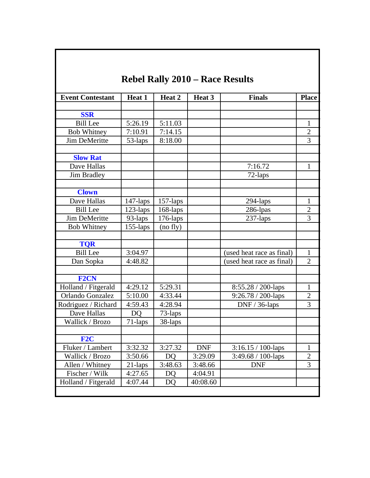| <b>Event Contestant</b> | Heat 1      | Heat 2      | Heat 3     | <b>Finals</b>             | <b>Place</b>   |
|-------------------------|-------------|-------------|------------|---------------------------|----------------|
|                         |             |             |            |                           |                |
| <b>SSR</b>              |             |             |            |                           |                |
| <b>Bill Lee</b>         | 5:26.19     | 5:11.03     |            |                           | $\mathbf{1}$   |
| <b>Bob Whitney</b>      | 7:10.91     | 7:14.15     |            |                           | 2              |
| <b>Jim DeMeritte</b>    | 53-laps     | 8:18.00     |            |                           | 3              |
| <b>Slow Rat</b>         |             |             |            |                           |                |
| Dave Hallas             |             |             |            | 7:16.72                   | $\mathbf{1}$   |
| Jim Bradley             |             |             |            | 72-laps                   |                |
| <b>Clown</b>            |             |             |            |                           |                |
| Dave Hallas             | $147$ -laps | $157$ -laps |            | 294-laps                  | $\mathbf{1}$   |
| <b>Bill Lee</b>         | 123-laps    | 168-laps    |            | 286-lpas                  | $\overline{2}$ |
| <b>Jim DeMeritte</b>    | 93-laps     | $176$ -laps |            | 237-laps                  | 3              |
| <b>Bob Whitney</b>      | 155-laps    | (no fly)    |            |                           |                |
| <b>TQR</b>              |             |             |            |                           |                |
| <b>Bill Lee</b>         | 3:04.97     |             |            | (used heat race as final) | $\mathbf{1}$   |
| Dan Sopka               | 4:48.82     |             |            | used heat race as final)  | 2              |
|                         |             |             |            |                           |                |
| <b>F2CN</b>             |             |             |            |                           |                |
| Holland / Fitgerald     | 4:29.12     | 5:29.31     |            | 8:55.28 / 200-laps        | $\mathbf{1}$   |
| Orlando Gonzalez        | 5:10.00     | 4:33.44     |            | 9:26.78 / 200-laps        | $\overline{2}$ |
| Rodriguez / Richard     | 4:59.43     | 4:28.94     |            | $DNF / 36$ -laps          | 3              |
| Dave Hallas             | <b>DO</b>   | 73-laps     |            |                           |                |
| Wallick / Brozo         | 71-laps     | 38-laps     |            |                           |                |
| F2C                     |             |             |            |                           |                |
| Fluker / Lambert        | 3:32.32     | 3:27.32     | <b>DNF</b> | $3:16.15 / 100$ -laps     | $\mathbf{1}$   |
| Wallick / Brozo         | 3:50.66     | DQ          | 3:29.09    | $3:49.68 / 100$ -laps     | $\overline{2}$ |
| Allen / Whitney         | 21-laps     | 3:48.63     | 3:48.66    | <b>DNF</b>                | 3              |
| Fischer / Wilk          | 4:27.65     | DQ          | 4:04.91    |                           |                |
| Holland / Fitgerald     | 4:07.44     | <b>DQ</b>   | 40:08.60   |                           |                |

L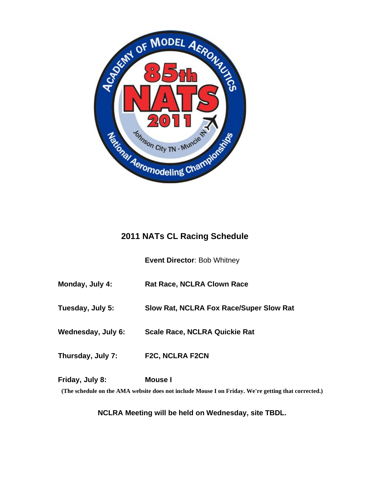

# **2011 NATs CL Racing Schedule**

**Event Director**: Bob Whitney

**Monday, July 4: Rat Race, NCLRA Clown Race**

**Tuesday, July 5: Slow Rat, NCLRA Fox Race/Super Slow Rat**

**Wednesday, July 6: Scale Race, NCLRA Quickie Rat**

**Thursday, July 7: F2C, NCLRA F2CN**

**Friday, July 8: Mouse I**

**(The schedule on the AMA website does not include Mouse I on Friday. We're getting that corrected.)**

**NCLRA Meeting will be held on Wednesday, site TBDL.**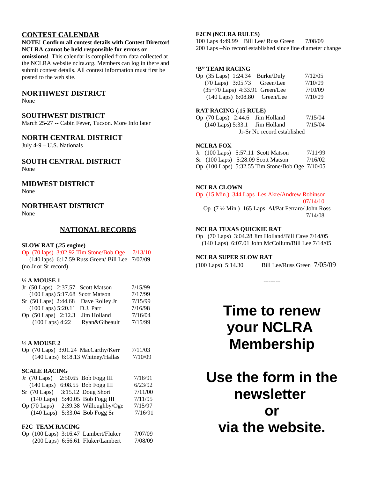# **CONTEST CALENDAR**

#### **NOTE! Confirm all contest details with Contest Director! NCLRA cannot be held responsible for errors or**

**omissions!** This calendar is compiled from data collected at the NCLRA website nclra.org. Members can log in there and submit contest details. All contest information must first be posted to the web site.

### **NORTHWEST DISTRICT**

None

#### **SOUTHWEST DISTRICT**

March 25-27 -- Cabin Fever, Tucson. More Info later

# **NORTH CENTRAL DISTRICT**

July 4-9 – U.S. Nationals

# **SOUTH CENTRAL DISTRICT**

None

#### **MIDWEST DISTRICT**

None

## **NORTHEAST DISTRICT**

None

### **NATIONAL RECORDS**

#### **SLOW RAT (.25 engine)**

| Op (70 laps) 3:02.92 Tim Stone/Bob Oge                      | 7/13/10 |
|-------------------------------------------------------------|---------|
| $(140 \text{ laps})$ 6:17.59 Russ Green/ Bill Lee $7/07/09$ |         |
| (no Jr or Sr record)                                        |         |

#### **½ A MOUSE 1**

|                              | Jr (50 Laps) 2:37.57 Scott Matson   | 7/15/99 |
|------------------------------|-------------------------------------|---------|
|                              | (100 Laps) 5:17.68 Scott Matson     | 7/17/99 |
|                              | Sr (50 Laps) 2:44.68 Dave Rolley Jr | 7/15/99 |
| (100 Laps) 5:20.11 D.J. Parr |                                     | 7/16/98 |
|                              | Op (50 Laps) 2:12.3 Jim Holland     | 7/16/04 |
| $(100$ Laps) 4:22            | Ryan&Gibeault                       | 7/15/99 |

#### ½ **A MOUSE 2**

| Op (70 Laps) 3:01.24 MacCarthy/Kerr   | 7/11/03 |
|---------------------------------------|---------|
| $(140$ Laps) $6:18.13$ Whitney/Hallas | 7/10/09 |

#### **SCALE RACING**

|              |                                                                   |              | 7/16/91                                                                                                                                     |
|--------------|-------------------------------------------------------------------|--------------|---------------------------------------------------------------------------------------------------------------------------------------------|
| $(140$ Laps) |                                                                   |              | 6/23/92                                                                                                                                     |
|              |                                                                   |              | 7/11/00                                                                                                                                     |
| $(140$ Laps) |                                                                   |              | 7/11/95                                                                                                                                     |
|              |                                                                   |              | 7/15/97                                                                                                                                     |
|              |                                                                   |              | 7/16/91                                                                                                                                     |
|              | Jr $(70 \text{ Laps})$<br>$Sr$ (70 Laps)<br>$Op(70 \text{ Laps})$ | $(140$ Laps) | 2:50.65 Bob Fogg III<br>6:08.55 Bob Fogg III<br>3:15.12 Doug Short<br>5:40.05 Bob Fogg III<br>2:39.38 Willoughby/Oge<br>5:33.04 Bob Fogg Sr |

#### **F2C TEAM RACING**

|  | Op (100 Laps) 3:16.47 Lambert/Fluker | 7/07/09 |
|--|--------------------------------------|---------|
|  | $(200$ Laps) 6:56.61 Fluker/Lambert  | 7/08/09 |

#### **F2CN (NCLRA RULES)**

100 Laps 4:49.99 Bill Lee/ Russ Green 7/08/09 200 Laps –No record established since line diameter change

#### **'B" TEAM RACING**

| Op (35 Laps) 1:24.34 Burke/Duly       | 7/12/05 |  |
|---------------------------------------|---------|--|
| $(70 \text{ Laps})$ 3:05.73 Green/Lee | 7/10/09 |  |
| (35+70 Laps) 4:33.91 Green/Lee        | 7/10/09 |  |
| (140 Laps) 6:08.80 Green/Lee          | 7/10/09 |  |

#### **RAT RACING (.15 RULE)**

Op (70 Laps) 2:44.6 Jim Holland 7/15/04 (140 Laps) 5:33.1 Jim Holland 7/15/04 Jr-Sr No record established

#### **NCLRA FOX**

|  | Jr (100 Laps) 5:57.11 Scott Matson              | 7/11/99 |
|--|-------------------------------------------------|---------|
|  | $Sr$ (100 Laps) 5:28.09 Scott Matson            | 7/16/02 |
|  | Op (100 Laps) 5:32.55 Tim Stone/Bob Oge 7/10/05 |         |

#### **NCLRA CLOWN**

Op (15 Min.) 344 Laps Les Akre/Andrew Robinson 07/14/10

 Op (7 ½ Min.) 165 Laps Al/Pat Ferraro/ John Ross 7/14/08

#### **NCLRA TEXAS QUICKIE RAT**

Op (70 Laps) 3:04.28 Jim Holland/Bill Cave 7/14/05 (140 Laps) 6:07.01 John McCollum/Bill Lee 7/14/05

#### **NCLRA SUPER SLOW RAT**

(100 Laps) 5:14.30 Bill Lee/Russ Green 7/05/09

-------

# **Time to renew your NCLRA Membership**

**Use the form in the newsletter or via the website.**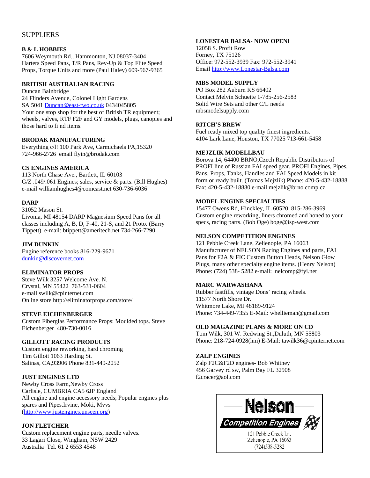# SUPPLIERS

#### **B & L HOBBIES**

7606 Weymouth Rd., Hammonton, NJ 08037-3404 Harters Speed Pans, T/R Pans, Rev-Up & Top Flite Speed Props, Torque Units and more (Paul Haley) 609-567-9365

#### **BRITISH AUSTRALIAN RACING**

Duncan Bainbridge 24 Flinders Avenue, Colonel Light Gardens SA 5041 [Duncan@east-two.co.uk](mailto:Duncan@east-two.co.uk) 0434045805 Your one stop shop for the best of British TR equipment; wheels, valves, RTF F2F and GY models, plugs, canopies and those hard to fi nd items.

#### **BRODAK MANUFACTURING**

Everything c/l! 100 Park Ave, Carmichaels PA,15320 724-966-2726 email flyin@brodak.com

#### **CS ENGINES AMERICA**

113 North Chase Ave., Bartlett, IL 60103 G/Z .049/.061 Engines; sales, service & parts. (Bill Hughes) e-mail williamhughes4@comcast.net 630-736-6036

#### **DARP**

31052 Mason St. Livonia, MI 48154 DARP Magnesium Speed Pans for all classes including A, B, D, F-40, 21-S, and 21 Proto. (Barry Tippett) e-mail: btippett@ameritech.net 734-266-7290

#### **JIM DUNKIN**

Engine reference books 816-229-9671 [dunkin@discovernet.com](mailto:dunkin@discovernet.com)

#### **ELIMINATOR PROPS**

Steve Wilk 3257 Welcome Ave. N. Crystal, MN 55422 763-531-0604 e-mail swilk@cpinternet.com Online store http://eliminatorprops.com/store/

#### **STEVE EICHENBERGER**

Custom Fiberglas Performance Props: Moulded tops. Steve Eichenberger 480-730-0016

#### **GILLOTT RACING PRODUCTS**

Custom engine reworking, hard chroming Tim Gillott 1063 Harding St. Salinas, CA,93906 Phone 831-449-2052

#### **JUST ENGINES LTD**

Newby Cross Farm,Newby Cross Carlisle, CUMBRIA CA5 6JP England All engine and engine accessory needs; Popular engines plus spares and Pipes.Irvine, Moki, Mvvs [\(http://www.justengines.unseen.org\)](http://www.justengines.unseen.org/)

#### **JON FLETCHER**

Custom replacement engine parts, needle valves. 33 Lagari Close, Wingham, NSW 2429 Australia Tel. 61 2 6553 4548

#### **LONESTAR BALSA- NOW OPEN!**

12058 S. Profit Row Forney, TX 75126 Office: 972-552-3939 Fax: 972-552-3941 Email [http://www.Lonestar-Balsa.com](http://www.Lonestar-Balsa.com/)

#### **MBS MODEL SUPPLY**

PO Box 282 Auburn KS 66402 Contact Melvin Schuette 1-785-256-2583 Solid Wire Sets and other C/L needs mbsmodelsupply.com

#### **RITCH'S BREW**

Fuel ready mixed top quality finest ingredients. 4104 Lark Lane, Houston, TX 77025 713-661-5458

#### **MEJZLIK MODELLBAU**

Borova 14, 64400 BRNO,Czech Republic Distributors of PROFI line of Russian FAI speed gear. PROFI Engines, Pipes, Pans, Props, Tanks, Handles and FAI Speed Models in kit form or ready built. (Tomas Mejzlik) Phone: 420-5-432-18888 Fax: 420-5-432-18880 e-mail mejzlik@brno.comp.cz

#### **MODEL ENGINE SPECIALTIES**

15477 Owens Rd, Hinckley, IL 60520 815-286-3969 Custom engine reworking, liners chromed and honed to your specs, racing parts. (Bob Oge) boge@isp-west.com

#### **NELSON COMPETITION ENGINES**

121 Pebble Creek Lane, Zelienople, PA 16063 Manufacturer of NELSON Racing Engines and parts, FAI Pans for F2A & FIC Custom Button Heads, Nelson Glow Plugs, many other specialty engine items. (Henry Nelson) Phone: (724) 538- 5282 e-mail: nelcomp@fyi.net

#### **MARC WARWASHANA**

Rubber fastfills, vintage Dons' racing wheels. 11577 North Shore Dr. Whitmore Lake, MI 48189-9124 Phone: 734-449-7355 E-Mail: whellieman@gmail.com

#### **OLD MAGAZINE PLANS & MORE ON CD**

Tom Wilk, 301 W. Redwing St.,Duluth, MN 55803 Phone: 218-724-0928(hm) E-Mail: tawilk36@cpinternet.com

#### **ZALP ENGINES**

Zalp F2C&F2D engines- Bob Whitney 456 Garvey rd sw, Palm Bay FL 32908 f2cracer@aol.com

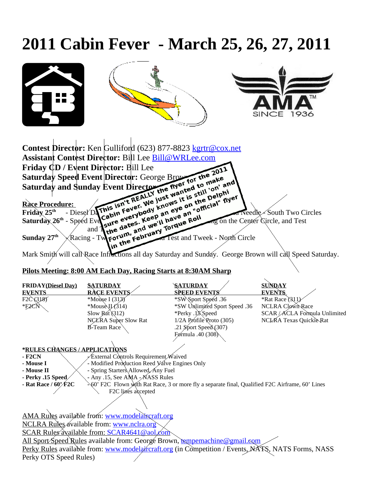# **2011 Cabin Fever - March 25, 26, 27, 2011**



# **Pilots Meeting: 8:00 AM Each Day, Racing Starts at 8:30AM Sharp**

| <b>FRIDAY</b> (Diesel Day)                                                                                                  | <b>SATURDAY</b>                                 | <b>SATURDAY</b>                                                                                  | <b>SUNDAY</b>                 |  |
|-----------------------------------------------------------------------------------------------------------------------------|-------------------------------------------------|--------------------------------------------------------------------------------------------------|-------------------------------|--|
| <b>EVENTS</b>                                                                                                               | <b>RACE EVENTS</b>                              | <b>SPEED EVENTS</b>                                                                              | <b>EVENTS</b>                 |  |
| F2C (318)                                                                                                                   | *Mouse I (313)                                  | *SW\Sport Speed .36                                                                              | *Rat Race (311)               |  |
| E2CN                                                                                                                        | *Mouse $U(314)$                                 | *SW Unlimited Sport Speed .36                                                                    | <b>NCLRA Clown Race</b>       |  |
|                                                                                                                             | Slow Rát $(312)$                                | *Perky .1XSpeed                                                                                  | SCAR / ACLA Formula Unlimited |  |
|                                                                                                                             | NCLARA Super Slow Rat                           | 1/2A Profile Proto (305)                                                                         | NCLKA Texas Quickie Rat       |  |
|                                                                                                                             | $\overline{B}$ -Team Race                       | .21 Sport Speed $(307)$                                                                          |                               |  |
|                                                                                                                             |                                                 | Førmula .40 (308)                                                                                |                               |  |
|                                                                                                                             |                                                 |                                                                                                  |                               |  |
| *RULES CHANGES / APPLICATIONS                                                                                               |                                                 |                                                                                                  |                               |  |
| $-$ F2CN                                                                                                                    | External Controls Requirement Waived            |                                                                                                  |                               |  |
| - Mouse I                                                                                                                   | - Modified Production Reed Valve Engines Only   |                                                                                                  |                               |  |
| - Mouse II                                                                                                                  | - Spring Starters\Allowed, Any Fuel             |                                                                                                  |                               |  |
| - Perky .15 Speed                                                                                                           | - Any .15, See AMA - NASS Rules                 |                                                                                                  |                               |  |
| - Rat Race $/60$ $/$ F2C<br>√60' F2C Flown with Rat Race, 3 or more fly a separate final, Qualified F2C Airframe, 60' Lines |                                                 |                                                                                                  |                               |  |
|                                                                                                                             | F2C lines accepted                              |                                                                                                  |                               |  |
|                                                                                                                             |                                                 |                                                                                                  |                               |  |
|                                                                                                                             |                                                 |                                                                                                  |                               |  |
|                                                                                                                             | AMA Rules available from: www.modelaircraft.org |                                                                                                  |                               |  |
|                                                                                                                             |                                                 |                                                                                                  |                               |  |
|                                                                                                                             | NCLRA Rules available from: www.nclra.org       |                                                                                                  |                               |  |
|                                                                                                                             | SCAR Rules available from: SCAR4641@aol.com     |                                                                                                  |                               |  |
|                                                                                                                             |                                                 | All Sport/Speed Rules available from: George Brown, tempemachine@gmail.com                       |                               |  |
|                                                                                                                             |                                                 | Perky Rules available from: www.modelarcaft.org (in Competition / Events, MATS, NATS Forms, NASS |                               |  |
| Perky OTS Speed Rules)                                                                                                      |                                                 |                                                                                                  |                               |  |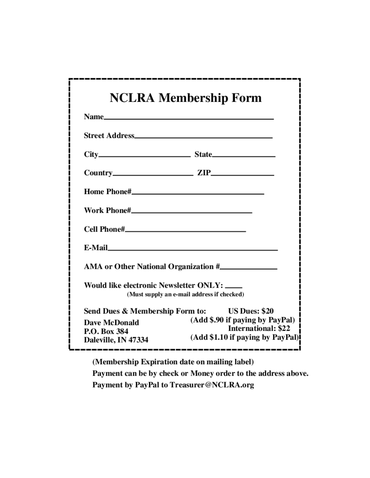| <b>NCLRA Membership Form</b>                                                                                                                                                                                                     |
|----------------------------------------------------------------------------------------------------------------------------------------------------------------------------------------------------------------------------------|
|                                                                                                                                                                                                                                  |
|                                                                                                                                                                                                                                  |
| $City$ State                                                                                                                                                                                                                     |
|                                                                                                                                                                                                                                  |
|                                                                                                                                                                                                                                  |
|                                                                                                                                                                                                                                  |
|                                                                                                                                                                                                                                  |
|                                                                                                                                                                                                                                  |
|                                                                                                                                                                                                                                  |
| Would like electronic Newsletter ONLY: _____<br>(Must supply an e-mail address if checked)                                                                                                                                       |
| Send Dues & Membership Form to: US Dues: \$20<br>(Add \$.90 if paying by PayPal) [<br><b>Dave McDonald</b><br><b>International: \$22</b><br>P.O. Box 384<br>(Add \$1.10 if paying by PayPal)<br>Daleville, IN 47334<br>--------- |

(Membership Expiration date on mailing label)

Payment can be by check or Money order to the address above. Payment by PayPal to Treasurer@NCLRA.org